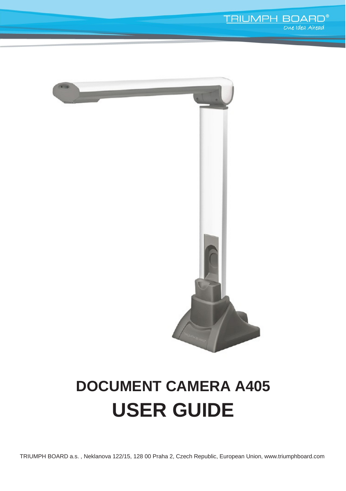

# **DOCUMENT CAMERA A405 USER GUIDE**

TRIUMPH BOARD a.s. , Neklanova 122/15, 128 00 Praha 2, [Czech Republic, European Union, www.triumphboard.com](http://www.triumphboard.com/)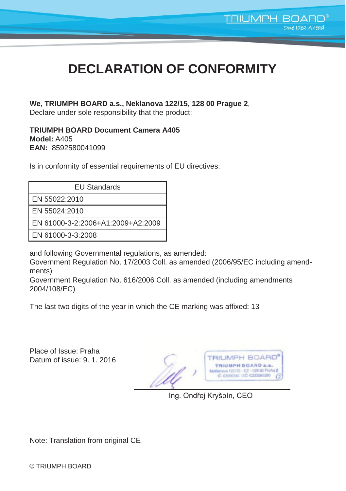# **DECLARATION OF CONFORMITY**

#### **We, TRIUMPH BOARD a.s., Neklanova 122/15, 128 00 Prague 2**,

Declare under sole responsibility that the product:

**TRIUMPH BOARD Document Camera A405 Model:** A405 **EAN:** 8592580041099

Is in conformity of essential requirements of EU directives:

| <b>EU Standards</b>               |
|-----------------------------------|
| EN 55022:2010                     |
| EN 55024:2010                     |
| EN 61000-3-2:2006+A1:2009+A2:2009 |
| EN 61000-3-3:2008                 |

and following Governmental regulations, as amended:

Government Regulation No. 17/2003 Coll. as amended (2006/95/EC including amendments)

Government Regulation No. 616/2006 Coll. as amended (including amendments 2004/108/EC)

The last two digits of the year in which the CE marking was affixed: 13

Place of Issue: Praha Datum of issue: 9.1.2016

**TRIUMPH BOARD**<sup>®</sup> TRIUMPH BOARD e.s. international Des Praires<br>C 6320036 DD CZ3380380 (2

**TRIUMPH BOARD®** 

One Idea Ahead

Ing. Ondřej Kryšpín, CEO

Note: Translation from original CE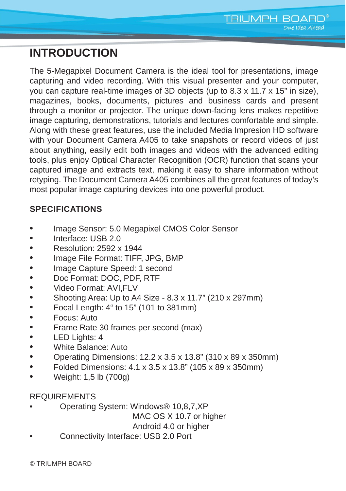# **INTRODUCTION**

The 5-Megapixel Document Camera is the ideal tool for presentations, image capturing and video recording. With this visual presenter and your computer, you can capture real-time images of 3D objects (up to 8.3 x 11.7 x 15" in size), magazines, books, documents, pictures and business cards and present through a monitor or projector. The unique down-facing lens makes repetitive image capturing, demonstrations, tutorials and lectures comfortable and simple. Along with these great features, use the included Media Impresion HD software with your Document Camera A405 to take snapshots or record videos of just about anything, easily edit both images and videos with the advanced editing tools, plus enjoy Optical Character Recognition (OCR) function that scans your captured image and extracts text, making it easy to share information without retyping. The Document Camera A405 combines all the great features of today's most popular image capturing devices into one powerful product.

#### **SPECIFICATIONS**

- Image Sensor: 5.0 Megapixel CMOS Color Sensor
- Interface: USB 2.0
- Resolution: 2592 x 1944
- Image File Format: TIFF, JPG, BMP
- Image Capture Speed: 1 second
- Doc Format: DOC, PDF, RTF
- Video Format: AVI,FLV
- Shooting Area: Up to A4 Size 8.3 x 11.7" (210 x 297mm)
- Focal Length: 4" to 15" (101 to 381mm)
- Focus: Auto
- Frame Rate 30 frames per second (max)
- LED Lights: 4
- White Balance: Auto
- Operating Dimensions: 12.2 x 3.5 x 13.8" (310 x 89 x 350mm)
- Folded Dimensions:  $4.1 \times 3.5 \times 13.8$ " (105 x 89 x 350mm)
- Weight: 1,5 lb (700g)

#### REQUIREMENTS

• Operating System: Windows® 10,8,7,XP

MAC OS X 10.7 or higher

Android 4.0 or higher

• Connectivity Interface: USB 2.0 Port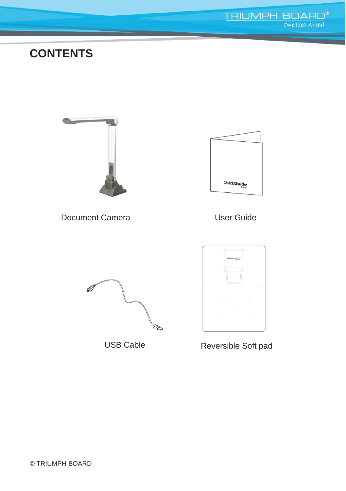## **CONTENTS**



Document Camera 

User Guide







USB Cable Reversible Soft pad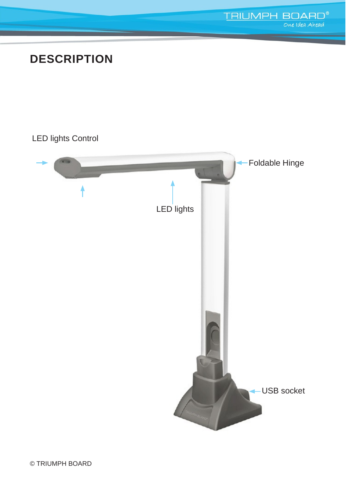# **DESCRIPTION**

### LED lights Control



**TRIUMPH BOARD<sup>®</sup>**<br>One Idea Ahead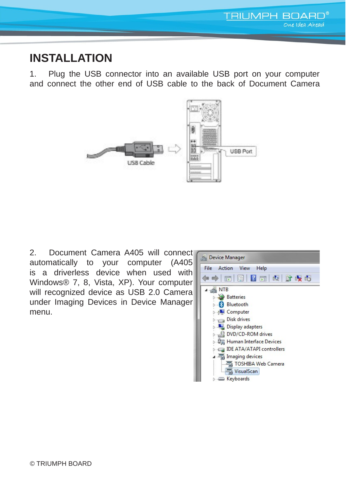

### **INSTALLATION**

1. Plug the USB connector into an available USB port on your computer and connect the other end of USB cable to the back of Document Camera



2. Document Camera A405 will connect automatically to your computer (A405 is a driverless device when used with Windows® 7, 8, Vista, XP). Your computer will recognized device as USB 2.0 Camera under Imaging Devices in Device Manager menu.

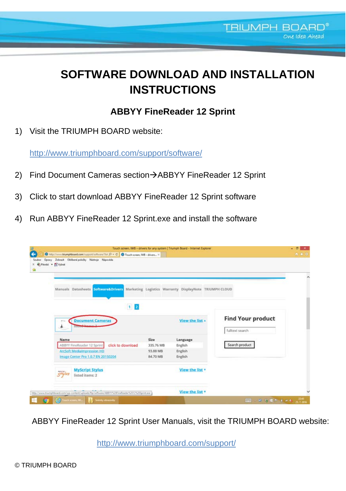# **SOFTWARE DOWNLOAD AND INSTALLATION INSTRUCTIONS**

**TRIUMPH BOARD®** 

### **ABBYY FineReader 12 Sprint**

1) Visit the TRIUMPH BOARD website:

http://www.triumphboard.com/support/software/

- 2) Find Document Cameras section->ABBYY FineReader 12 Sprint
- 3) Click to start download ABBYY FineReader 12 Sprint software
- 4) Run ABBYY FineReader 12 Sprint.exe and install the software

| Soubor | http://www.triumphboard.com/support/software/?list $D = C$ O Touch screen, IWE - drivers X<br>Úpravy Zobrazit Oblibené položky Nástroje Nápověda<br>Plevest . Po Vybrat |           |                        |                                             | <b>合金</b> |
|--------|-------------------------------------------------------------------------------------------------------------------------------------------------------------------------|-----------|------------------------|---------------------------------------------|-----------|
|        | Marketing Logistics Warranty DisplayNote TRIUMPH CLOUD<br>Manuals Datasheets Software&Drivers                                                                           |           |                        |                                             |           |
|        | $1 \, 2$<br><b>Document Cameras</b><br>۸<br><b>History</b>                                                                                                              |           | View the list <b>A</b> | <b>Find Your product</b><br>fulltext search |           |
|        | Name                                                                                                                                                                    | Size      | Language               |                                             |           |
|        | ABBYY FineReader 12 Sprint<br>click to download                                                                                                                         | 335.76 MB | English                | Search product                              |           |
|        | <b>ArcSoft Medialmpression HD</b>                                                                                                                                       | 93.88 MB  | English                |                                             |           |
|        | Image Center Pro 1.0.7 EN 20150204                                                                                                                                      | 84,70 MB  | English                |                                             |           |
|        | <b>MyScript Stylus</b><br>$5$ <sup>rylus</sup><br>listed items: 2                                                                                                       |           | View the list <b>v</b> |                                             |           |
|        |                                                                                                                                                                         |           |                        |                                             |           |

ABBYY FineReader 12 Sprint User Manuals, visit the TRIUMPH BOARD website:

http://www.triumphboard.com/support/